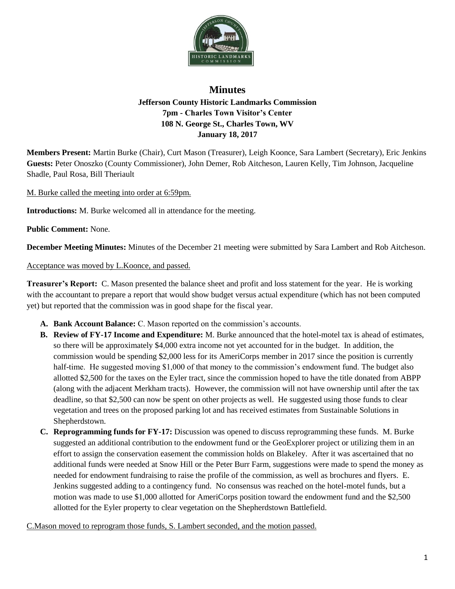

## **Minutes Jefferson County Historic Landmarks Commission 7pm - Charles Town Visitor's Center 108 N. George St., Charles Town, WV January 18, 2017**

**Members Present:** Martin Burke (Chair), Curt Mason (Treasurer), Leigh Koonce, Sara Lambert (Secretary), Eric Jenkins **Guests:** Peter Onoszko (County Commissioner), John Demer, Rob Aitcheson, Lauren Kelly, Tim Johnson, Jacqueline Shadle, Paul Rosa, Bill Theriault

M. Burke called the meeting into order at 6:59pm.

**Introductions:** M. Burke welcomed all in attendance for the meeting.

**Public Comment:** None.

**December Meeting Minutes:** Minutes of the December 21 meeting were submitted by Sara Lambert and Rob Aitcheson.

## Acceptance was moved by L.Koonce, and passed.

**Treasurer's Report:** C. Mason presented the balance sheet and profit and loss statement for the year. He is working with the accountant to prepare a report that would show budget versus actual expenditure (which has not been computed yet) but reported that the commission was in good shape for the fiscal year.

- **A. Bank Account Balance:** C. Mason reported on the commission's accounts.
- **B. Review of FY-17 Income and Expenditure:** M. Burke announced that the hotel-motel tax is ahead of estimates, so there will be approximately \$4,000 extra income not yet accounted for in the budget. In addition, the commission would be spending \$2,000 less for its AmeriCorps member in 2017 since the position is currently half-time. He suggested moving \$1,000 of that money to the commission's endowment fund. The budget also allotted \$2,500 for the taxes on the Eyler tract, since the commission hoped to have the title donated from ABPP (along with the adjacent Merkham tracts). However, the commission will not have ownership until after the tax deadline, so that \$2,500 can now be spent on other projects as well. He suggested using those funds to clear vegetation and trees on the proposed parking lot and has received estimates from Sustainable Solutions in Shepherdstown.
- **C. Reprogramming funds for FY-17:** Discussion was opened to discuss reprogramming these funds. M. Burke suggested an additional contribution to the endowment fund or the GeoExplorer project or utilizing them in an effort to assign the conservation easement the commission holds on Blakeley. After it was ascertained that no additional funds were needed at Snow Hill or the Peter Burr Farm, suggestions were made to spend the money as needed for endowment fundraising to raise the profile of the commission, as well as brochures and flyers. E. Jenkins suggested adding to a contingency fund. No consensus was reached on the hotel-motel funds, but a motion was made to use \$1,000 allotted for AmeriCorps position toward the endowment fund and the \$2,500 allotted for the Eyler property to clear vegetation on the Shepherdstown Battlefield.

C.Mason moved to reprogram those funds, S. Lambert seconded, and the motion passed.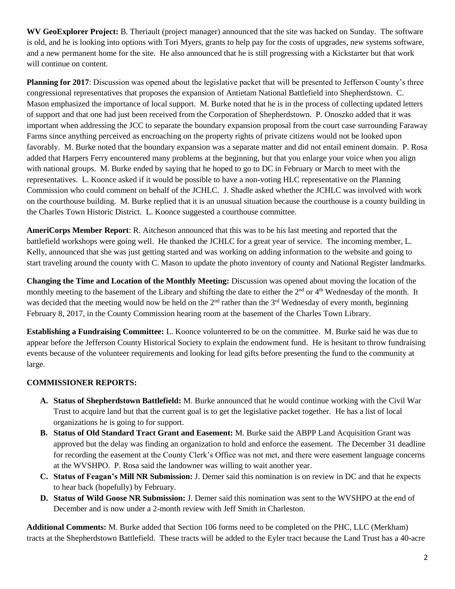**WV GeoExplorer Project:** B. Theriault (project manager) announced that the site was hacked on Sunday. The software is old, and he is looking into options with Tori Myers, grants to help pay for the costs of upgrades, new systems software, and a new permanent home for the site. He also announced that he is still progressing with a Kickstarter but that work will continue on content.

**Planning for 2017**: Discussion was opened about the legislative packet that will be presented to Jefferson County's three congressional representatives that proposes the expansion of Antietam National Battlefield into Shepherdstown. C. Mason emphasized the importance of local support. M. Burke noted that he is in the process of collecting updated letters of support and that one had just been received from the Corporation of Shepherdstown. P. Onoszko added that it was important when addressing the JCC to separate the boundary expansion proposal from the court case surrounding Faraway Farms since anything perceived as encroaching on the property rights of private citizens would not be looked upon favorably. M. Burke noted that the boundary expansion was a separate matter and did not entail eminent domain. P. Rosa added that Harpers Ferry encountered many problems at the beginning, but that you enlarge your voice when you align with national groups. M. Burke ended by saying that he hoped to go to DC in February or March to meet with the representatives. L. Koonce asked if it would be possible to have a non-voting HLC representative on the Planning Commission who could comment on behalf of the JCHLC. J. Shadle asked whether the JCHLC was involved with work on the courthouse building. M. Burke replied that it is an unusual situation because the courthouse is a county building in the Charles Town Historic District. L. Koonce suggested a courthouse committee.

**AmeriCorps Member Report**: R. Aitcheson announced that this was to be his last meeting and reported that the battlefield workshops were going well. He thanked the JCHLC for a great year of service. The incoming member, L. Kelly, announced that she was just getting started and was working on adding information to the website and going to start traveling around the county with C. Mason to update the photo inventory of county and National Register landmarks.

**Changing the Time and Location of the Monthly Meeting:** Discussion was opened about moving the location of the monthly meeting to the basement of the Library and shifting the date to either the  $2<sup>nd</sup>$  or  $4<sup>th</sup>$  Wednesday of the month. It was decided that the meeting would now be held on the  $2<sup>nd</sup>$  rather than the  $3<sup>rd</sup>$  Wednesday of every month, beginning February 8, 2017, in the County Commission hearing room at the basement of the Charles Town Library.

**Establishing a Fundraising Committee:** L. Koonce volunteered to be on the committee. M. Burke said he was due to appear before the Jefferson County Historical Society to explain the endowment fund. He is hesitant to throw fundraising events because of the volunteer requirements and looking for lead gifts before presenting the fund to the community at large.

## **COMMISSIONER REPORTS:**

- **A. Status of Shepherdstown Battlefield:** M. Burke announced that he would continue working with the Civil War Trust to acquire land but that the current goal is to get the legislative packet together. He has a list of local organizations he is going to for support.
- **B. Status of Old Standard Tract Grant and Easement:** M. Burke said the ABPP Land Acquisition Grant was approved but the delay was finding an organization to hold and enforce the easement. The December 31 deadline for recording the easement at the County Clerk's Office was not met, and there were easement language concerns at the WVSHPO. P. Rosa said the landowner was willing to wait another year.
- **C. Status of Feagan's Mill NR Submission:** J. Demer said this nomination is on review in DC and that he expects to hear back (hopefully) by February.
- **D. Status of Wild Goose NR Submission:** J. Demer said this nomination was sent to the WVSHPO at the end of December and is now under a 2-month review with Jeff Smith in Charleston.

**Additional Comments:** M. Burke added that Section 106 forms need to be completed on the PHC, LLC (Merkham) tracts at the Shepherdstown Battlefield. These tracts will be added to the Eyler tract because the Land Trust has a 40-acre